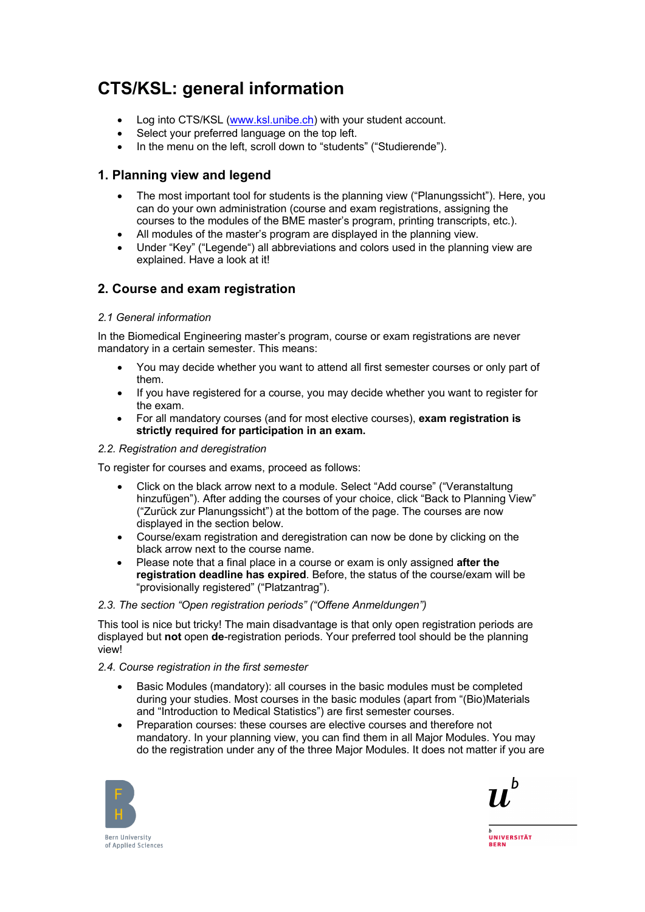# **CTS/KSL: general information**

- Log into CTS/KSL (www.ksl.unibe.ch) with your student account.
- Select your preferred language on the top left.
- In the menu on the left, scroll down to "students" ("Studierende").

# **1. Planning view and legend**

- The most important tool for students is the planning view ("Planungssicht"). Here, you can do your own administration (course and exam registrations, assigning the courses to the modules of the BME master's program, printing transcripts, etc.).
- All modules of the master's program are displayed in the planning view.
- Under "Key" ("Legende") all abbreviations and colors used in the planning view are explained. Have a look at it!

# **2. Course and exam registration**

#### *2.1 General information*

In the Biomedical Engineering master's program, course or exam registrations are never mandatory in a certain semester. This means:

- You may decide whether you want to attend all first semester courses or only part of them.
- If you have registered for a course, you may decide whether you want to register for the exam.
- For all mandatory courses (and for most elective courses), **exam registration is strictly required for participation in an exam.**

#### *2.2. Registration and deregistration*

To register for courses and exams, proceed as follows:

- Click on the black arrow next to a module. Select "Add course" ("Veranstaltung hinzufügen"). After adding the courses of your choice, click "Back to Planning View" ("Zurück zur Planungssicht") at the bottom of the page. The courses are now displayed in the section below.
- Course/exam registration and deregistration can now be done by clicking on the black arrow next to the course name.
- Please note that a final place in a course or exam is only assigned **after the registration deadline has expired**. Before, the status of the course/exam will be "provisionally registered" ("Platzantrag").

#### *2.3. The section "Open registration periods" ("Offene Anmeldungen")*

This tool is nice but tricky! The main disadvantage is that only open registration periods are displayed but **not** open **de**-registration periods. Your preferred tool should be the planning view!

#### *2.4. Course registration in the first semester*

- Basic Modules (mandatory): all courses in the basic modules must be completed during your studies. Most courses in the basic modules (apart from "(Bio)Materials and "Introduction to Medical Statistics") are first semester courses.
- Preparation courses: these courses are elective courses and therefore not mandatory. In your planning view, you can find them in all Major Modules. You may do the registration under any of the three Major Modules. It does not matter if you are





**UNIVERSITÄT RERN** 

**Bern University** of Applied Sciences